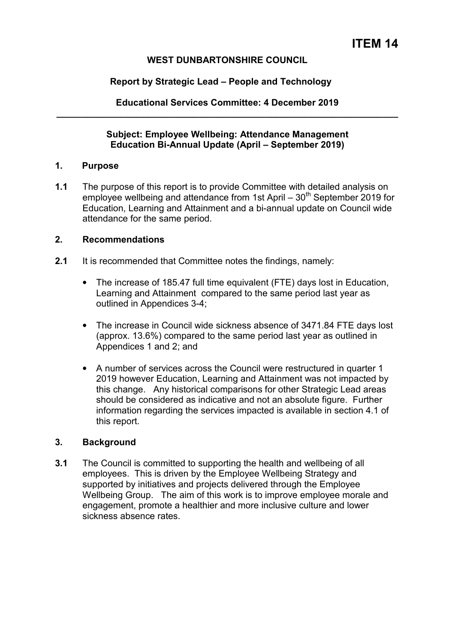## **WEST DUNBARTONSHIRE COUNCIL**

## **Report by Strategic Lead – People and Technology**

**Educational Services Committee: 4 December 2019 \_\_\_\_\_\_\_\_\_\_\_\_\_\_\_\_\_\_\_\_\_\_\_\_\_\_\_\_\_\_\_\_\_\_\_\_\_\_\_\_\_\_\_\_\_\_\_\_\_\_\_\_\_\_\_\_\_\_\_\_\_\_\_\_\_\_\_** 

#### **Subject: Employee Wellbeing: Attendance Management Education Bi-Annual Update (April – September 2019)**

### **1. Purpose**

**1.1** The purpose of this report is to provide Committee with detailed analysis on employee wellbeing and attendance from 1st April  $-30<sup>th</sup>$  September 2019 for Education, Learning and Attainment and a bi-annual update on Council wide attendance for the same period.

#### **2. Recommendations**

- **2.1** It is recommended that Committee notes the findings, namely:
	- The increase of 185.47 full time equivalent (FTE) days lost in Education, Learning and Attainment compared to the same period last year as outlined in Appendices 3-4;
	- The increase in Council wide sickness absence of 3471.84 FTE days lost (approx. 13.6%) compared to the same period last year as outlined in Appendices 1 and 2; and
	- A number of services across the Council were restructured in quarter 1 2019 however Education, Learning and Attainment was not impacted by this change. Any historical comparisons for other Strategic Lead areas should be considered as indicative and not an absolute figure. Further information regarding the services impacted is available in section 4.1 of this report.

### **3. Background**

**3.1** The Council is committed to supporting the health and wellbeing of all employees. This is driven by the Employee Wellbeing Strategy and supported by initiatives and projects delivered through the Employee Wellbeing Group. The aim of this work is to improve employee morale and engagement, promote a healthier and more inclusive culture and lower sickness absence rates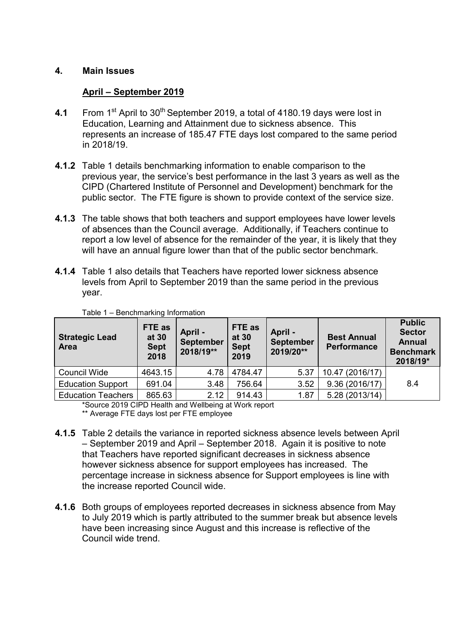## **4. Main Issues**

# **April – September 2019**

- **4.1** From 1<sup>st</sup> April to 30<sup>th</sup> September 2019, a total of 4180.19 days were lost in Education, Learning and Attainment due to sickness absence. This represents an increase of 185.47 FTE days lost compared to the same period in 2018/19.
- **4.1.2** Table 1 details benchmarking information to enable comparison to the previous year, the service's best performance in the last 3 years as well as the CIPD (Chartered Institute of Personnel and Development) benchmark for the public sector. The FTE figure is shown to provide context of the service size.
- **4.1.3** The table shows that both teachers and support employees have lower levels of absences than the Council average. Additionally, if Teachers continue to report a low level of absence for the remainder of the year, it is likely that they will have an annual figure lower than that of the public sector benchmark.
- **4.1.4** Table 1 also details that Teachers have reported lower sickness absence levels from April to September 2019 than the same period in the previous year.

| <b>Strategic Lead</b><br><b>Area</b> | FTE as<br>at 30<br><b>Sept</b><br>2018 | April -<br><b>September</b><br>2018/19** | FTE as<br>at 30<br><b>Sept</b><br>2019 | April -<br><b>September</b><br>2019/20** | <b>Best Annual</b><br><b>Performance</b> | <b>Public</b><br><b>Sector</b><br><b>Annual</b><br><b>Benchmark</b><br>2018/19* |
|--------------------------------------|----------------------------------------|------------------------------------------|----------------------------------------|------------------------------------------|------------------------------------------|---------------------------------------------------------------------------------|
| Council Wide                         | 4643.15                                | 4.78                                     | 4784.47                                | 5.37                                     | 10.47 (2016/17)                          |                                                                                 |
| <b>Education Support</b>             | 691.04                                 | 3.48                                     | 756.64                                 | 3.52                                     | 9.36(2016/17)                            | 8.4                                                                             |
| <b>Education Teachers</b>            | 865.63                                 | 2.12                                     | 914.43                                 | 1.87                                     | 5.28 (2013/14)                           |                                                                                 |

Table 1 – Benchmarking Information

\*Source 2019 CIPD Health and Wellbeing at Work report

\*\* Average FTE days lost per FTE employee

- **4.1.5** Table 2 details the variance in reported sickness absence levels between April – September 2019 and April – September 2018. Again it is positive to note that Teachers have reported significant decreases in sickness absence however sickness absence for support employees has increased. The percentage increase in sickness absence for Support employees is line with the increase reported Council wide.
- **4.1.6** Both groups of employees reported decreases in sickness absence from May to July 2019 which is partly attributed to the summer break but absence levels have been increasing since August and this increase is reflective of the Council wide trend.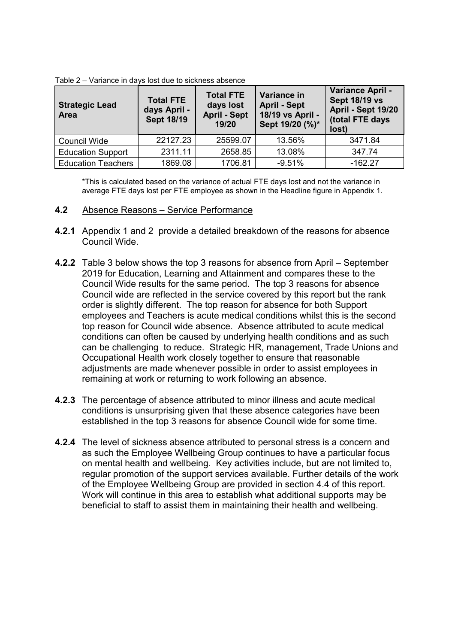| <b>Strategic Lead</b><br><b>Area</b> | <b>Total FTE</b><br>days April -<br><b>Sept 18/19</b> | <b>Total FTE</b><br>days lost<br><b>April - Sept</b><br>19/20 | Variance in<br><b>April - Sept</b><br>18/19 vs April -<br>Sept 19/20 (%)* | Variance April -<br><b>Sept 18/19 vs</b><br>April - Sept 19/20<br>(total FTE days<br>lost) |
|--------------------------------------|-------------------------------------------------------|---------------------------------------------------------------|---------------------------------------------------------------------------|--------------------------------------------------------------------------------------------|
| Council Wide                         | 22127.23                                              | 25599.07                                                      | 13.56%                                                                    | 3471.84                                                                                    |
| <b>Education Support</b>             | 2311.11                                               | 2658.85                                                       | 13.08%                                                                    | 347.74                                                                                     |
| <b>Education Teachers</b>            | 1869.08                                               | 1706.81                                                       | $-9.51%$                                                                  | $-162.27$                                                                                  |

Table 2 – Variance in days lost due to sickness absence

\*This is calculated based on the variance of actual FTE days lost and not the variance in average FTE days lost per FTE employee as shown in the Headline figure in Appendix 1.

#### **4.2** Absence Reasons – Service Performance

- **4.2.1** Appendix 1 and 2 provide a detailed breakdown of the reasons for absence Council Wide.
- **4.2.2** Table 3 below shows the top 3 reasons for absence from April September 2019 for Education, Learning and Attainment and compares these to the Council Wide results for the same period. The top 3 reasons for absence Council wide are reflected in the service covered by this report but the rank order is slightly different. The top reason for absence for both Support employees and Teachers is acute medical conditions whilst this is the second top reason for Council wide absence. Absence attributed to acute medical conditions can often be caused by underlying health conditions and as such can be challenging to reduce. Strategic HR, management, Trade Unions and Occupational Health work closely together to ensure that reasonable adjustments are made whenever possible in order to assist employees in remaining at work or returning to work following an absence.
- **4.2.3** The percentage of absence attributed to minor illness and acute medical conditions is unsurprising given that these absence categories have been established in the top 3 reasons for absence Council wide for some time.
- **4.2.4** The level of sickness absence attributed to personal stress is a concern and as such the Employee Wellbeing Group continues to have a particular focus on mental health and wellbeing. Key activities include, but are not limited to, regular promotion of the support services available. Further details of the work of the Employee Wellbeing Group are provided in section 4.4 of this report. Work will continue in this area to establish what additional supports may be beneficial to staff to assist them in maintaining their health and wellbeing.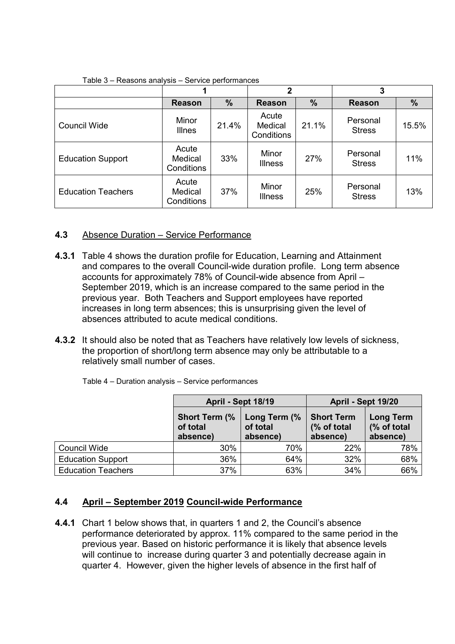|                           |                                |               | $\overline{2}$                 |       | 3                         |               |
|---------------------------|--------------------------------|---------------|--------------------------------|-------|---------------------------|---------------|
|                           | <b>Reason</b>                  | $\frac{9}{6}$ | <b>Reason</b>                  | $\%$  | <b>Reason</b>             | $\frac{9}{6}$ |
| <b>Council Wide</b>       | Minor<br><b>Illnes</b>         | 21.4%         | Acute<br>Medical<br>Conditions | 21.1% | Personal<br><b>Stress</b> | 15.5%         |
| <b>Education Support</b>  | Acute<br>Medical<br>Conditions | 33%           | Minor<br><b>Illness</b>        | 27%   | Personal<br><b>Stress</b> | 11%           |
| <b>Education Teachers</b> | Acute<br>Medical<br>Conditions | 37%           | Minor<br><b>Illness</b>        | 25%   | Personal<br><b>Stress</b> | 13%           |

Table 3 – Reasons analysis – Service performances

# **4.3** Absence Duration – Service Performance

- **4.3.1** Table 4 shows the duration profile for Education, Learning and Attainment and compares to the overall Council-wide duration profile. Long term absence accounts for approximately 78% of Council-wide absence from April – September 2019, which is an increase compared to the same period in the previous year. Both Teachers and Support employees have reported increases in long term absences; this is unsurprising given the level of absences attributed to acute medical conditions.
- **4.3.2** It should also be noted that as Teachers have relatively low levels of sickness, the proportion of short/long term absence may only be attributable to a relatively small number of cases.

|                           | April - Sept 18/19                            |                                      | April - Sept 19/20                           |                                             |  |
|---------------------------|-----------------------------------------------|--------------------------------------|----------------------------------------------|---------------------------------------------|--|
|                           | <b>Short Term (%)</b><br>of total<br>absence) | Long Term (%<br>of total<br>absence) | <b>Short Term</b><br>(% of total<br>absence) | <b>Long Term</b><br>(% of total<br>absence) |  |
| Council Wide              | 30%                                           | 70%                                  | 22%                                          | 78%                                         |  |
| <b>Education Support</b>  | 36%                                           | 64%                                  | 32%                                          | 68%                                         |  |
| <b>Education Teachers</b> | 37%                                           | 63%                                  | 34%                                          | 66%                                         |  |

Table 4 – Duration analysis – Service performances

### **4.4 April – September 2019 Council-wide Performance**

**4.4.1** Chart 1 below shows that, in quarters 1 and 2, the Council's absence performance deteriorated by approx. 11% compared to the same period in the previous year. Based on historic performance it is likely that absence levels will continue to increase during quarter 3 and potentially decrease again in quarter 4. However, given the higher levels of absence in the first half of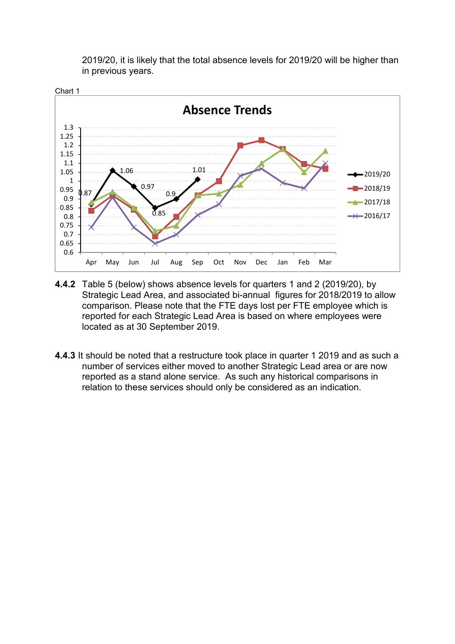

2019/20, it is likely that the total absence levels for 2019/20 will be higher than in previous years.

- **4.4.2** Table 5 (below) shows absence levels for quarters 1 and 2 (2019/20), by Strategic Lead Area, and associated bi-annual figures for 2018/2019 to allow comparison. Please note that the FTE days lost per FTE employee which is reported for each Strategic Lead Area is based on where employees were located as at 30 September 2019.
- **4.4.3** It should be noted that a restructure took place in quarter 1 2019 and as such a number of services either moved to another Strategic Lead area or are now reported as a stand alone service. As such any historical comparisons in relation to these services should only be considered as an indication.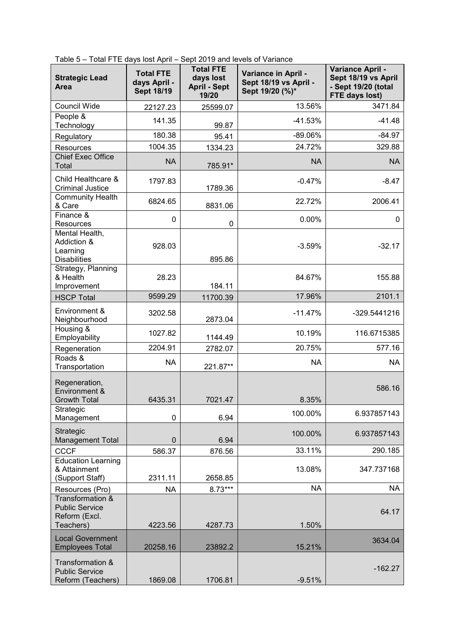| Table 5 - Total FTE days lost April - Sept 2019 and levels of Variance |  |  |  |
|------------------------------------------------------------------------|--|--|--|
|------------------------------------------------------------------------|--|--|--|

| <b>Strategic Lead</b><br>Area                                           | <b>Total FTE</b><br>days April -<br><b>Sept 18/19</b> | <b>Total FTE</b><br>days lost<br><b>April - Sept</b><br>19/20 | Variance in April -<br>Sept 18/19 vs April -<br>Sept 19/20 (%)* | Variance April -<br>Sept 18/19 vs April<br>- Sept 19/20 (total<br>FTE days lost) |
|-------------------------------------------------------------------------|-------------------------------------------------------|---------------------------------------------------------------|-----------------------------------------------------------------|----------------------------------------------------------------------------------|
| <b>Council Wide</b>                                                     | 22127.23                                              | 25599.07                                                      | 13.56%                                                          | 3471.84                                                                          |
| People &<br>Technology                                                  | 141.35                                                | 99.87                                                         | $-41.53%$                                                       | $-41.48$                                                                         |
| Regulatory                                                              | 180.38                                                | 95.41                                                         | $-89.06%$                                                       | $-84.97$                                                                         |
| Resources                                                               | 1004.35                                               | 1334.23                                                       | 24.72%                                                          | 329.88                                                                           |
| <b>Chief Exec Office</b><br>Total                                       | <b>NA</b>                                             | 785.91*                                                       | <b>NA</b>                                                       | <b>NA</b>                                                                        |
| Child Healthcare &<br><b>Criminal Justice</b>                           | 1797.83                                               | 1789.36                                                       | $-0.47%$                                                        | $-8.47$                                                                          |
| Community Health<br>& Care                                              | 6824.65                                               | 8831.06                                                       | 22.72%                                                          | 2006.41                                                                          |
| Finance &<br>Resources                                                  | 0                                                     | 0                                                             | 0.00%                                                           | 0                                                                                |
| Mental Health,<br>Addiction &<br>Learning<br><b>Disabilities</b>        | 928.03                                                | 895.86                                                        | $-3.59%$                                                        | $-32.17$                                                                         |
| Strategy, Planning<br>& Health<br>Improvement                           | 28.23                                                 | 184.11                                                        | 84.67%                                                          | 155.88                                                                           |
| <b>HSCP Total</b>                                                       | 9599.29                                               | 11700.39                                                      | 17.96%                                                          | 2101.1                                                                           |
| Environment &<br>Neighbourhood                                          | 3202.58                                               | 2873.04                                                       | $-11.47%$                                                       | -329.5441216                                                                     |
| Housing &<br>Employability                                              | 1027.82                                               | 1144.49                                                       | 10.19%                                                          | 116.6715385                                                                      |
| Regeneration                                                            | 2204.91                                               | 2782.07                                                       | 20.75%                                                          | 577.16                                                                           |
| Roads &<br>Transportation                                               | <b>NA</b>                                             | 221.87**                                                      | <b>NA</b>                                                       | <b>NA</b>                                                                        |
| Regeneration,<br>Environment &<br><b>Growth Total</b>                   | 6435.31                                               | 7021.47                                                       | 8.35%                                                           | 586.16                                                                           |
| Strategic<br>Management                                                 | 0                                                     | 6.94                                                          | 100.00%                                                         | 6.937857143                                                                      |
| <b>Strategic</b><br><b>Management Total</b>                             | $\mathbf 0$                                           | 6.94                                                          | 100.00%                                                         | 6.937857143                                                                      |
| <b>CCCF</b>                                                             | 586.37                                                | 876.56                                                        | 33.11%                                                          | 290.185                                                                          |
| <b>Education Learning</b><br>& Attainment<br>(Support Staff)            | 2311.11                                               | 2658.85                                                       | 13.08%                                                          | 347.737168                                                                       |
| Resources (Pro)                                                         | <b>NA</b>                                             | 8.73***                                                       | <b>NA</b>                                                       | <b>NA</b>                                                                        |
| Transformation &<br><b>Public Service</b><br>Reform (Excl.<br>Teachers) | 4223.56                                               | 4287.73                                                       | 1.50%                                                           | 64.17                                                                            |
| <b>Local Government</b><br><b>Employees Total</b>                       | 20258.16                                              | 23892.2                                                       | 15.21%                                                          | 3634.04                                                                          |
| Transformation &<br><b>Public Service</b><br>Reform (Teachers)          | 1869.08                                               | 1706.81                                                       | $-9.51%$                                                        | $-162.27$                                                                        |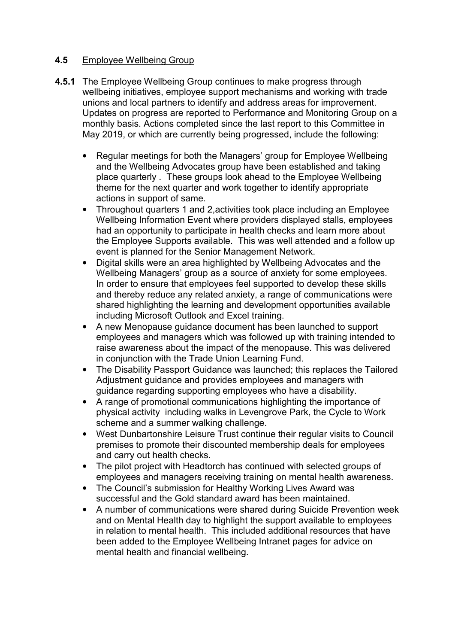## **4.5** Employee Wellbeing Group

- **4.5.1** The Employee Wellbeing Group continues to make progress through wellbeing initiatives, employee support mechanisms and working with trade unions and local partners to identify and address areas for improvement. Updates on progress are reported to Performance and Monitoring Group on a monthly basis. Actions completed since the last report to this Committee in May 2019, or which are currently being progressed, include the following:
	- Regular meetings for both the Managers' group for Employee Wellbeing and the Wellbeing Advocates group have been established and taking place quarterly . These groups look ahead to the Employee Wellbeing theme for the next quarter and work together to identify appropriate actions in support of same.
	- Throughout quarters 1 and 2, activities took place including an Employee Wellbeing Information Event where providers displayed stalls, employees had an opportunity to participate in health checks and learn more about the Employee Supports available. This was well attended and a follow up event is planned for the Senior Management Network.
	- Digital skills were an area highlighted by Wellbeing Advocates and the Wellbeing Managers' group as a source of anxiety for some employees. In order to ensure that employees feel supported to develop these skills and thereby reduce any related anxiety, a range of communications were shared highlighting the learning and development opportunities available including Microsoft Outlook and Excel training.
	- A new Menopause guidance document has been launched to support employees and managers which was followed up with training intended to raise awareness about the impact of the menopause. This was delivered in conjunction with the Trade Union Learning Fund.
	- The Disability Passport Guidance was launched; this replaces the Tailored Adjustment guidance and provides employees and managers with guidance regarding supporting employees who have a disability.
	- A range of promotional communications highlighting the importance of physical activity including walks in Levengrove Park, the Cycle to Work scheme and a summer walking challenge.
	- West Dunbartonshire Leisure Trust continue their regular visits to Council premises to promote their discounted membership deals for employees and carry out health checks.
	- The pilot project with Headtorch has continued with selected groups of employees and managers receiving training on mental health awareness.
	- The Council's submission for Healthy Working Lives Award was successful and the Gold standard award has been maintained.
	- A number of communications were shared during Suicide Prevention week and on Mental Health day to highlight the support available to employees in relation to mental health. This included additional resources that have been added to the Employee Wellbeing Intranet pages for advice on mental health and financial wellbeing.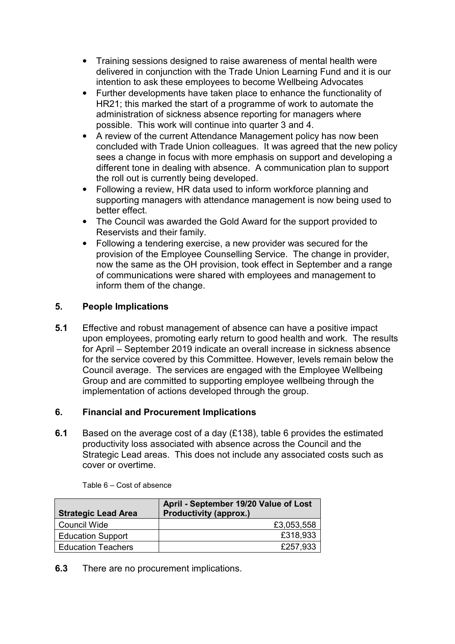- Training sessions designed to raise awareness of mental health were delivered in conjunction with the Trade Union Learning Fund and it is our intention to ask these employees to become Wellbeing Advocates
- Further developments have taken place to enhance the functionality of HR21; this marked the start of a programme of work to automate the administration of sickness absence reporting for managers where possible. This work will continue into quarter 3 and 4.
- A review of the current Attendance Management policy has now been concluded with Trade Union colleagues. It was agreed that the new policy sees a change in focus with more emphasis on support and developing a different tone in dealing with absence. A communication plan to support the roll out is currently being developed.
- Following a review, HR data used to inform workforce planning and supporting managers with attendance management is now being used to better effect.
- The Council was awarded the Gold Award for the support provided to Reservists and their family.
- Following a tendering exercise, a new provider was secured for the provision of the Employee Counselling Service. The change in provider, now the same as the OH provision, took effect in September and a range of communications were shared with employees and management to inform them of the change.

# **5. People Implications**

**5.1** Effective and robust management of absence can have a positive impact upon employees, promoting early return to good health and work. The results for April – September 2019 indicate an overall increase in sickness absence for the service covered by this Committee. However, levels remain below the Council average. The services are engaged with the Employee Wellbeing Group and are committed to supporting employee wellbeing through the implementation of actions developed through the group.

### **6. Financial and Procurement Implications**

**6.1** Based on the average cost of a day (£138), table 6 provides the estimated productivity loss associated with absence across the Council and the Strategic Lead areas. This does not include any associated costs such as cover or overtime.

| <b>Strategic Lead Area</b> | April - September 19/20 Value of Lost<br><b>Productivity (approx.)</b> |
|----------------------------|------------------------------------------------------------------------|
| <b>Council Wide</b>        | £3,053,558                                                             |
| <b>Education Support</b>   | £318,933                                                               |
| <b>Education Teachers</b>  | £257,933                                                               |

Table 6 – Cost of absence

**6.3** There are no procurement implications.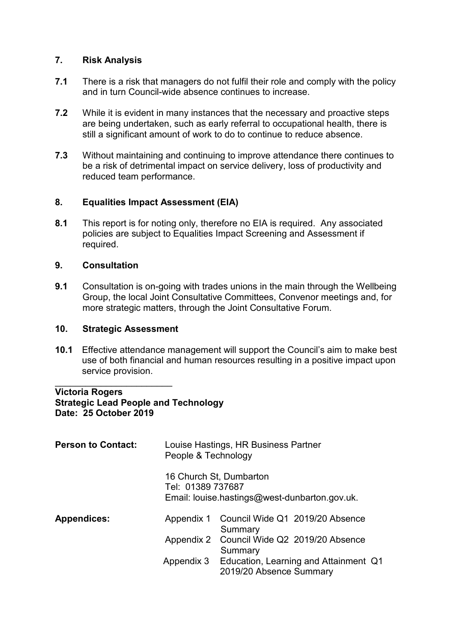## **7. Risk Analysis**

- **7.1** There is a risk that managers do not fulfil their role and comply with the policy and in turn Council-wide absence continues to increase.
- **7.2** While it is evident in many instances that the necessary and proactive steps are being undertaken, such as early referral to occupational health, there is still a significant amount of work to do to continue to reduce absence.
- **7.3** Without maintaining and continuing to improve attendance there continues to be a risk of detrimental impact on service delivery, loss of productivity and reduced team performance.

## **8. Equalities Impact Assessment (EIA)**

**8.1** This report is for noting only, therefore no EIA is required. Any associated policies are subject to Equalities Impact Screening and Assessment if required.

## **9. Consultation**

**9.1** Consultation is on-going with trades unions in the main through the Wellbeing Group, the local Joint Consultative Committees, Convenor meetings and, for more strategic matters, through the Joint Consultative Forum.

### **10. Strategic Assessment**

**10.1** Effective attendance management will support the Council's aim to make best use of both financial and human resources resulting in a positive impact upon service provision.

#### \_\_\_\_\_\_\_\_\_\_\_\_\_\_\_\_\_\_\_\_\_\_\_ **Victoria Rogers Strategic Lead People and Technology Date: 25 October 2019**

| <b>Person to Contact:</b> | People & Technology | Louise Hastings, HR Business Partner                                     |                                                  |
|---------------------------|---------------------|--------------------------------------------------------------------------|--------------------------------------------------|
|                           | Tel: 01389 737687   | 16 Church St, Dumbarton<br>Email: louise.hastings@west-dunbarton.gov.uk. |                                                  |
| <b>Appendices:</b>        |                     | Summary                                                                  | Appendix 1 Council Wide Q1 2019/20 Absence       |
|                           |                     | Summary                                                                  | Appendix 2 Council Wide Q2 2019/20 Absence       |
|                           |                     | 2019/20 Absence Summary                                                  | Appendix 3 Education, Learning and Attainment Q1 |